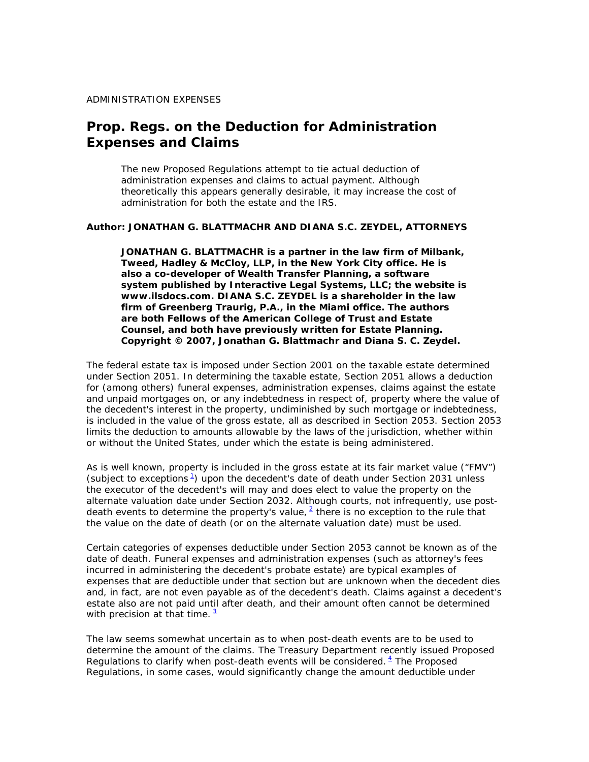#### **Prop. Regs. on the Deduction for Administration Expenses and Claims**

*The new Proposed Regulations attempt to tie actual deduction of administration expenses and claims to actual payment. Although theoretically this appears generally desirable, it may increase the cost of administration for both the estate and the IRS.*

#### *Author: JONATHAN G. BLATTMACHR AND DIANA S.C. ZEYDEL, ATTORNEYS*

*JONATHAN G. BLATTMACHR is a partner in the law firm of Milbank, Tweed, Hadley & McCloy, LLP, in the New York City office. He is also a co-developer of Wealth Transfer Planning, a software system published by Interactive Legal Systems, LLC; the website is www.ilsdocs.com. DIANA S.C. ZEYDEL is a shareholder in the law firm of Greenberg Traurig, P.A., in the Miami office. The authors are both Fellows of the American College of Trust and Estate Counsel, and both have previously written for Estate Planning. Copyright © 2007, Jonathan G. Blattmachr and Diana S. C. Zeydel.* 

The federal estate tax is imposed under Section 2001 on the taxable estate determined under Section 2051. In determining the taxable estate, Section 2051 allows a deduction for (among others) funeral expenses, administration expenses, claims against the estate and unpaid mortgages on, or any indebtedness in respect of, property where the value of the decedent's interest in the property, undiminished by such mortgage or indebtedness, is included in the value of the gross estate, all as described in Section 2053. Section 2053 limits the deduction to amounts allowable by the laws of the jurisdiction, whether within or without the United States, under which the estate is being administered.

As is well known, property is included in the gross estate at its fair market value ("FMV") (subject to exceptions $\frac{1}{2}$ ) upon the decedent's date of death under Section 2031 unless the executor of the decedent's will may and does elect to value the property on the alternate valuation date under Section 2032. Although courts, not infrequently, use postdeath events to determine the property's value,  $2$  there is no exception to the rule that the value on the date of death (or on the alternate valuation date) must be used.

Certain categories of expenses deductible under Section 2053 cannot be known as of the date of death. Funeral expenses and administration expenses (such as attorney's fees incurred in administering the decedent's probate estate) are typical examples of expenses that are deductible under that section but are unknown when the decedent dies and, in fact, are not even payable as of the decedent's death. Claims against a decedent's estate also are not paid until after death, and their amount often cannot be determined with precision at that time.  $3$ 

The law seems somewhat uncertain as to when post-death events are to be used to determine the amount of the claims. The Treasury Department recently issued Proposed Regulations to clarify when post-death events will be considered.  $4$  The Proposed Regulations, in some cases, would significantly change the amount deductible under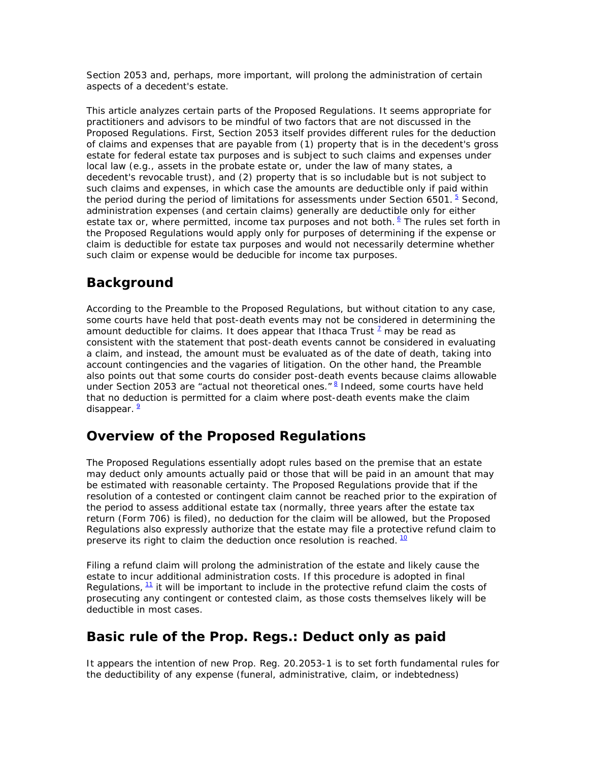Section 2053 and, perhaps, more important, will prolong the administration of certain aspects of a decedent's estate.

This article analyzes certain parts of the Proposed Regulations. It seems appropriate for practitioners and advisors to be mindful of two factors that are not discussed in the Proposed Regulations. First, Section 2053 itself provides different rules for the deduction of claims and expenses that are payable from (1) property that is in the decedent's gross estate for federal estate tax purposes and is subject to such claims and expenses under local law (e.g., assets in the probate estate or, under the law of many states, a decedent's revocable trust), and (2) property that is so includable but is not subject to such claims and expenses, in which case the amounts are deductible only if paid within the period during the period of limitations for assessments under Section 6501.  $5$  Second, administration expenses (and certain claims) generally are deductible only for either estate tax or, where permitted, income tax purposes and not both. <sup>6</sup> The rules set forth in the Proposed Regulations would apply only for purposes of determining if the expense or claim is deductible for estate tax purposes and would not necessarily determine whether such claim or expense would be deducible for income tax purposes.

# **Background**

According to the Preamble to the Proposed Regulations, but without citation to any case, some courts have held that post-death events may not be considered in determining the amount deductible for claims. It does appear that *Ithaca Trust*<sup>1</sup> may be read as consistent with the statement that post-death events cannot be considered in evaluating a claim, and instead, the amount must be evaluated as of the date of death, taking into account contingencies and the vagaries of litigation. On the other hand, the Preamble also points out that some courts do consider post-death events because claims allowable under Section 2053 are "actual not theoretical ones." <sup>8</sup> Indeed, some courts have held that no deduction is permitted for a claim where post-death events make the claim disappear.<sup>9</sup>

# **Overview of the Proposed Regulations**

The Proposed Regulations essentially adopt rules based on the premise that an estate may deduct only amounts actually paid or those that will be paid in an amount that may be estimated with reasonable certainty. The Proposed Regulations provide that if the resolution of a contested or contingent claim cannot be reached prior to the expiration of the period to assess additional estate tax (normally, three years after the estate tax return (Form 706) is filed), no deduction for the claim will be allowed, but the Proposed Regulations also expressly authorize that the estate may file a protective refund claim to preserve its right to claim the deduction once resolution is reached.  $10$ 

Filing a refund claim will prolong the administration of the estate and likely cause the estate to incur additional administration costs. If this procedure is adopted in final Regulations,  $\frac{11}{1}$  it will be important to include in the protective refund claim the costs of prosecuting any contingent or contested claim, as those costs themselves likely will be deductible in most cases.

# **Basic rule of the Prop. Regs.: Deduct only as paid**

It appears the intention of new Prop. Reg. 20.2053-1 is to set forth fundamental rules for the deductibility of any expense (funeral, administrative, claim, or indebtedness)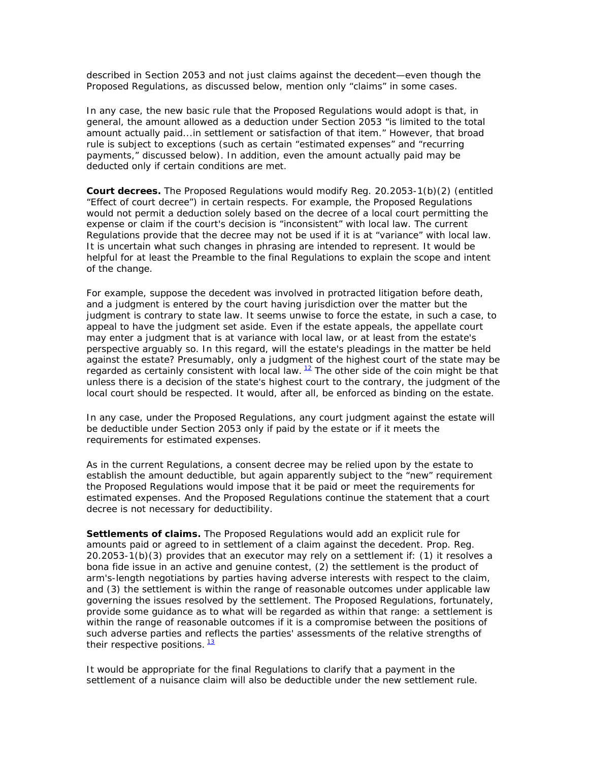described in Section 2053 and not just claims against the decedent—even though the Proposed Regulations, as discussed below, mention only "claims" in some cases.

In any case, the new basic rule that the Proposed Regulations would adopt is that, in general, the amount allowed as a deduction under Section 2053 "is limited to the total amount actually paid...in settlement or satisfaction of that item." However, that broad rule is subject to exceptions (such as certain "estimated expenses" and "recurring payments," discussed below). In addition, even the amount actually paid may be deducted only if certain conditions are met.

*Court decrees.* The Proposed Regulations would modify Reg. 20.2053-1(b)(2) (entitled "Effect of court decree") in certain respects. For example, the Proposed Regulations would not permit a deduction solely based on the decree of a local court permitting the expense or claim if the court's decision is "inconsistent" with local law. The current Regulations provide that the decree may not be used if it is at "variance" with local law. It is uncertain what such changes in phrasing are intended to represent. It would be helpful for at least the Preamble to the final Regulations to explain the scope and intent of the change.

For example, suppose the decedent was involved in protracted litigation before death, and a judgment is entered by the court having jurisdiction over the matter but the judgment is contrary to state law. It seems unwise to force the estate, in such a case, to appeal to have the judgment set aside. Even if the estate appeals, the appellate court may enter a judgment that is at variance with local law, or at least from the estate's perspective arguably so. In this regard, will the estate's pleadings in the matter be held against the estate? Presumably, only a judgment of the highest court of the state may be regarded as certainly consistent with local law.  $12$  The other side of the coin might be that unless there is a decision of the state's highest court to the contrary, the judgment of the local court should be respected. It would, after all, be enforced as binding on the estate.

In any case, under the Proposed Regulations, any court judgment against the estate will be deductible under Section 2053 only if paid by the estate or if it meets the requirements for estimated expenses.

As in the current Regulations, a consent decree may be relied upon by the estate to establish the amount deductible, but again apparently subject to the "new" requirement the Proposed Regulations would impose that it be paid or meet the requirements for estimated expenses. And the Proposed Regulations continue the statement that a court decree is not necessary for deductibility.

*Settlements of claims.* The Proposed Regulations would add an explicit rule for amounts paid or agreed to in settlement of a claim against the decedent. Prop. Reg. 20.2053-1(b)(3) provides that an executor may rely on a settlement if: (1) it resolves a bona fide issue in an active and genuine contest, (2) the settlement is the product of arm's-length negotiations by parties having adverse interests with respect to the claim, and (3) the settlement is within the range of reasonable outcomes under applicable law governing the issues resolved by the settlement. The Proposed Regulations, fortunately, provide some guidance as to what will be regarded as within that range: a settlement is within the range of reasonable outcomes if it is a compromise between the positions of such adverse parties and reflects the parties' assessments of the relative strengths of their respective positions.  $\frac{13}{2}$ 

It would be appropriate for the final Regulations to clarify that a payment in the settlement of a nuisance claim will also be deductible under the new settlement rule.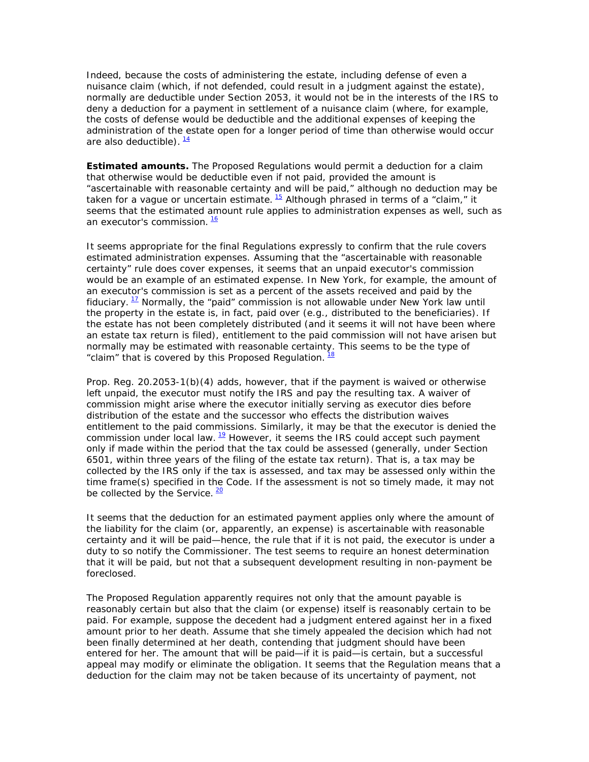Indeed, because the costs of administering the estate, including defense of even a nuisance claim (which, if not defended, could result in a judgment against the estate), normally are deductible under Section 2053, it would not be in the interests of the IRS to deny a deduction for a payment in settlement of a nuisance claim (where, for example, the costs of defense would be deductible and the additional expenses of keeping the administration of the estate open for a longer period of time than otherwise would occur are also deductible).  $\frac{14}{1}$ 

*Estimated amounts.* The Proposed Regulations would permit a deduction for a claim that otherwise would be deductible even if not paid, provided the amount is "ascertainable with reasonable certainty and will be paid," although no deduction may be taken for a vague or uncertain estimate.  $15$  Although phrased in terms of a "claim," it seems that the estimated amount rule applies to administration expenses as well, such as an executor's commission.  $\frac{16}{1}$ 

It seems appropriate for the final Regulations expressly to confirm that the rule covers estimated administration expenses. Assuming that the "ascertainable with reasonable certainty" rule does cover expenses, it seems that an unpaid executor's commission would be an example of an estimated expense. In New York, for example, the amount of an executor's commission is set as a percent of the assets received and paid by the fiduciary.  $17$  Normally, the "paid" commission is not allowable under New York law until the property in the estate is, in fact, paid over (e.g., distributed to the beneficiaries). If the estate has not been completely distributed (and it seems it will not have been where an estate tax return is filed), entitlement to the paid commission will not have arisen but normally may be estimated with reasonable certainty. This seems to be the type of "claim" that is covered by this Proposed Regulation.  $\frac{18}{2}$ 

Prop. Reg. 20.2053-1(b)(4) adds, however, that if the payment is waived or otherwise left unpaid, the executor must notify the IRS and pay the resulting tax. A waiver of commission might arise where the executor initially serving as executor dies before distribution of the estate and the successor who effects the distribution waives entitlement to the paid commissions. Similarly, it may be that the executor is denied the commission under local law.  $19$  However, it seems the IRS could accept such payment only if made within the period that the tax could be assessed (generally, under Section 6501, within three years of the filing of the estate tax return). That is, a tax may be collected by the IRS only if the tax is assessed, and tax may be assessed only within the time frame(s) specified in the Code. If the assessment is not so timely made, it may not be collected by the Service.  $\frac{20}{20}$ 

It seems that the deduction for an estimated payment applies only where the amount of the liability for the claim (or, apparently, an expense) is ascertainable with reasonable certainty and it will be paid—hence, the rule that if it is not paid, the executor is under a duty to so notify the Commissioner. The test seems to require an honest determination that it will be paid, but not that a subsequent development resulting in non-payment be foreclosed.

The Proposed Regulation apparently requires not only that the amount payable is reasonably certain but also that the claim (or expense) itself is reasonably certain to be paid. For example, suppose the decedent had a judgment entered against her in a fixed amount prior to her death. Assume that she timely appealed the decision which had not been finally determined at her death, contending that judgment should have been entered for her. The amount that will be paid—if it is paid—is certain, but a successful appeal may modify or eliminate the obligation. It seems that the Regulation means that a deduction for the claim may not be taken because of its uncertainty of payment, not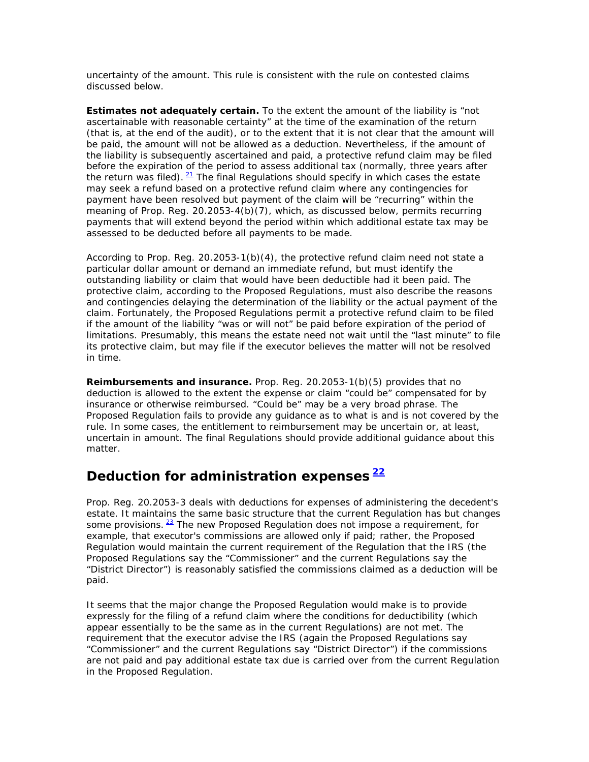uncertainty of the amount. This rule is consistent with the rule on contested claims discussed below.

**Estimates not adequately certain.** To the extent the amount of the liability is "not ascertainable with reasonable certainty" at the time of the examination of the return (that is, at the end of the audit), or to the extent that it is not clear that the amount will be paid, the amount will not be allowed as a deduction. Nevertheless, if the amount of the liability is subsequently ascertained *and paid*, a protective refund claim may be filed before the expiration of the period to assess additional tax (normally, three years after the return was filed).  $21$  The final Regulations should specify in which cases the estate may seek a refund based on a protective refund claim where any contingencies for payment have been resolved but payment of the claim will be "recurring" within the meaning of Prop. Reg. 20.2053-4(b)(7), which, as discussed below, permits recurring payments that will extend beyond the period within which additional estate tax may be assessed to be deducted before all payments to be made.

According to Prop. Reg. 20.2053-1(b)(4), the protective refund claim need not state a particular dollar amount or demand an immediate refund, but must identify the outstanding liability or claim that would have been deductible had it been paid. The protective claim, according to the Proposed Regulations, must also describe the reasons and contingencies delaying the determination of the liability or the actual payment of the claim. Fortunately, the Proposed Regulations permit a protective refund claim to be filed if the amount of the liability "was or will not" be paid before expiration of the period of limitations. Presumably, this means the estate need not wait until the "last minute" to file its protective claim, but may file if the executor believes the matter will not be resolved in time.

*Reimbursements and insurance.* Prop. Reg. 20.2053-1(b)(5) provides that no deduction is allowed to the extent the expense or claim "could be" compensated for by insurance or otherwise reimbursed. "Could be" may be a very broad phrase. The Proposed Regulation fails to provide any guidance as to what is and is not covered by the rule. In some cases, the entitlement to reimbursement may be uncertain or, at least, uncertain in amount. The final Regulations should provide additional guidance about this matter.

# **Deduction for administration expenses <sup>22</sup>**

Prop. Reg. 20.2053-3 deals with deductions for expenses of administering the decedent's estate. It maintains the same basic structure that the current Regulation has but changes some provisions.  $23$  The new Proposed Regulation does not impose a requirement, for example, that executor's commissions are allowed only if paid; rather, the Proposed Regulation would maintain the current requirement of the Regulation that the IRS (the Proposed Regulations say the "Commissioner" and the current Regulations say the "District Director") is reasonably satisfied the commissions claimed as a deduction will be paid.

It seems that the major change the Proposed Regulation would make is to provide expressly for the filing of a refund claim where the conditions for deductibility (which appear essentially to be the same as in the current Regulations) are not met. The requirement that the executor advise the IRS (again the Proposed Regulations say "Commissioner" and the current Regulations say "District Director") if the commissions are not paid and pay additional estate tax due is carried over from the current Regulation in the Proposed Regulation.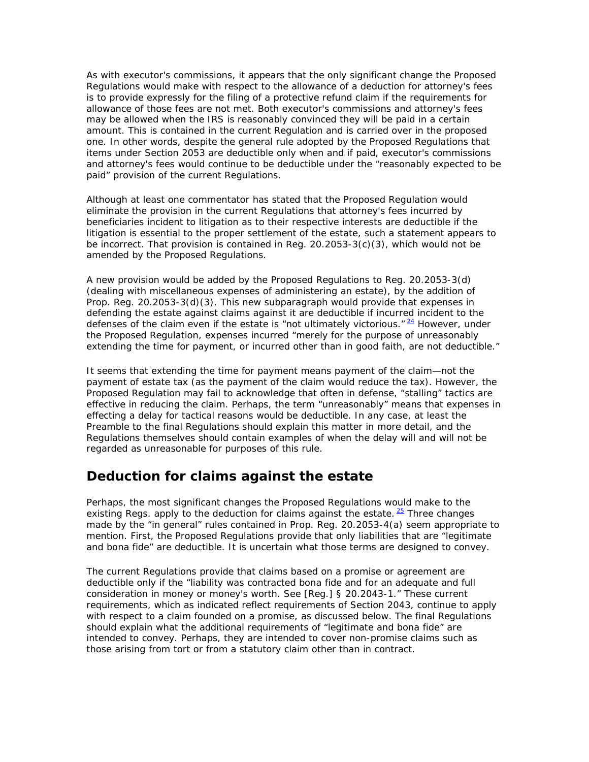As with executor's commissions, it appears that the only significant change the Proposed Regulations would make with respect to the allowance of a deduction for attorney's fees is to provide expressly for the filing of a protective refund claim if the requirements for allowance of those fees are not met. Both executor's commissions and attorney's fees may be allowed when the IRS is reasonably convinced they will be paid in a certain amount. This is contained in the current Regulation and is carried over in the proposed one. In other words, despite the general rule adopted by the Proposed Regulations that items under Section 2053 are deductible only when and if paid, executor's commissions and attorney's fees would continue to be deductible under the "reasonably expected to be paid" provision of the current Regulations.

Although at least one commentator has stated that the Proposed Regulation would eliminate the provision in the current Regulations that attorney's fees incurred by beneficiaries incident to litigation as to their respective interests are deductible if the litigation is essential to the proper settlement of the estate, such a statement appears to be incorrect. That provision is contained in Reg. 20.2053-3(c)(3), which would not be amended by the Proposed Regulations.

A new provision would be added by the Proposed Regulations to Reg. 20.2053-3(d) (dealing with miscellaneous expenses of administering an estate), by the addition of Prop. Reg. 20.2053-3(d)(3). This new subparagraph would provide that expenses in defending the estate against claims against it are deductible if incurred incident to the defenses of the claim even if the estate is "not ultimately victorious."  $24$  However, under the Proposed Regulation, expenses incurred "merely for the purpose of unreasonably extending the time for payment, or incurred other than in good faith, are not deductible."

It seems that extending the time for payment means payment of the claim—not the payment of estate tax (as the payment of the claim would reduce the tax). However, the Proposed Regulation may fail to acknowledge that often in defense, "stalling" tactics are effective in reducing the claim. Perhaps, the term "unreasonably" means that expenses in effecting a delay for tactical reasons would be deductible. In any case, at least the Preamble to the final Regulations should explain this matter in more detail, and the Regulations themselves should contain examples of when the delay will and will not be regarded as unreasonable for purposes of this rule.

#### **Deduction for claims against the estate**

Perhaps, the most significant changes the Proposed Regulations would make to the existing Regs. apply to the deduction for claims against the estate.  $\frac{25}{1}$  Three changes made by the "in general" rules contained in Prop. Reg. 20.2053-4(a) seem appropriate to mention. First, the Proposed Regulations provide that only liabilities that are "legitimate and bona fide" are deductible. It is uncertain what those terms are designed to convey.

The current Regulations provide that claims based on a promise or agreement are deductible only if the "liability was contracted bona fide and for an adequate and full consideration in money or money's worth. See [Reg.] § 20.2043-1." These current requirements, which as indicated reflect requirements of Section 2043, continue to apply with respect to a claim founded on a promise, as discussed below. The final Regulations should explain what the additional requirements of "legitimate and bona fide" are intended to convey. Perhaps, they are intended to cover non-promise claims such as those arising from tort or from a statutory claim other than in contract.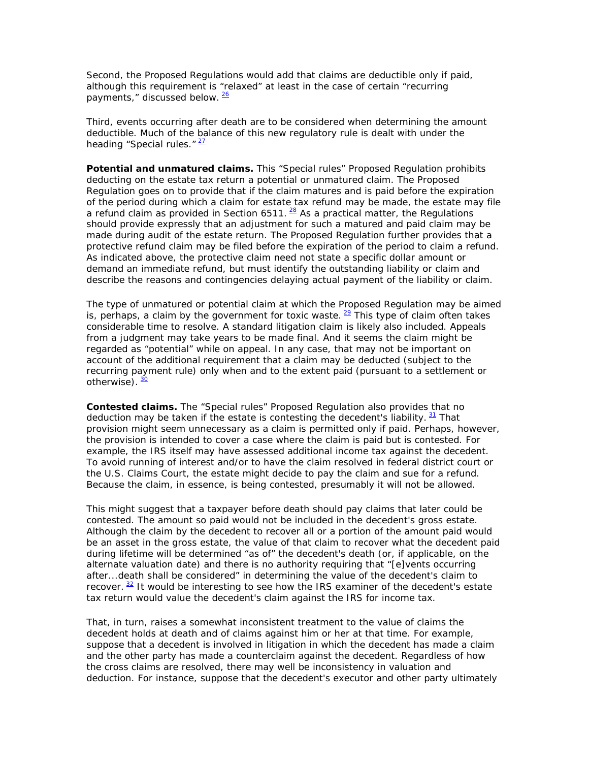Second, the Proposed Regulations would add that claims are deductible only if paid, although this requirement is "relaxed" at least in the case of certain "recurring payments," discussed below. 26

Third, events occurring after death are to be considered when determining the amount deductible. Much of the balance of this new regulatory rule is dealt with under the heading "Special rules." $27$ 

*Potential and unmatured claims.* This "Special rules" Proposed Regulation prohibits deducting on the estate tax return a potential or unmatured claim. The Proposed Regulation goes on to provide that if the claim matures *and is paid* before the expiration of the period during which a claim for estate tax refund may be made, the estate may file a refund claim as provided in Section 6511.  $^{28}$  As a practical matter, the Regulations should provide expressly that an adjustment for such a matured and paid claim may be made during audit of the estate return. The Proposed Regulation further provides that a protective refund claim may be filed before the expiration of the period to claim a refund. As indicated above, the protective claim need not state a specific dollar amount or demand an immediate refund, but must identify the outstanding liability or claim and describe the reasons and contingencies delaying actual payment of the liability or claim.

The type of unmatured or potential claim at which the Proposed Regulation may be aimed is, perhaps, a claim by the government for toxic waste.  $29$  This type of claim often takes considerable time to resolve. A standard litigation claim is likely also included. Appeals from a judgment may take years to be made final. And it seems the claim might be regarded as "potential" while on appeal. In any case, that may not be important on account of the additional requirement that a claim may be deducted (subject to the recurring payment rule) only when and to the extent paid (pursuant to a settlement or otherwise).  $\frac{30}{2}$ 

*Contested claims.* The "Special rules" Proposed Regulation also provides that no deduction may be taken if the estate is contesting the decedent's liability. 31 That provision might seem unnecessary as a claim is permitted only if paid. Perhaps, however, the provision is intended to cover a case where the claim is paid but is contested. For example, the IRS itself may have assessed additional income tax against the decedent. To avoid running of interest and/or to have the claim resolved in federal district court or the U.S. Claims Court, the estate might decide to pay the claim and sue for a refund. Because the claim, in essence, is being contested, presumably it will not be allowed.

This might suggest that a taxpayer before death should pay claims that later could be contested. The amount so paid would not be included in the decedent's gross estate. Although the claim by the decedent to recover all or a portion of the amount paid would be an asset in the gross estate, the value of that claim to recover what the decedent paid during lifetime will be determined "as of" the decedent's death (or, if applicable, on the alternate valuation date) and there is no authority requiring that "[e]vents occurring after...death shall be considered" in determining the value of the decedent's claim to recover.  $32$  It would be interesting to see how the IRS examiner of the decedent's estate tax return would value the decedent's claim against the IRS for income tax.

That, in turn, raises a somewhat inconsistent treatment to the value of claims the decedent holds at death and of claims against him or her at that time. For example, suppose that a decedent is involved in litigation in which the decedent has made a claim and the other party has made a counterclaim against the decedent. Regardless of how the cross claims are resolved, there may well be inconsistency in valuation and deduction. For instance, suppose that the decedent's executor and other party ultimately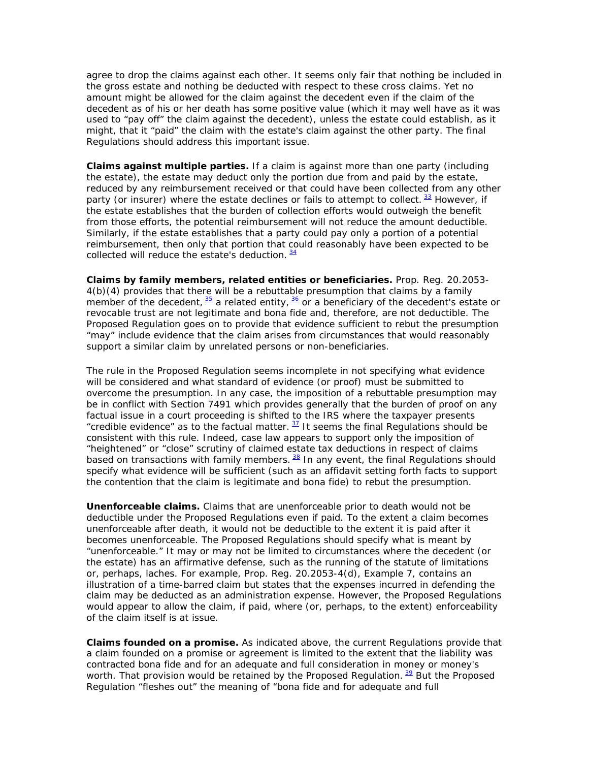agree to drop the claims against each other. It seems only fair that nothing be included in the gross estate and nothing be deducted with respect to these cross claims. Yet no amount might be allowed for the claim against the decedent even if the claim of the decedent as of his or her death has some positive value (which it may well have as it was used to "pay off" the claim against the decedent), unless the estate could establish, as it might, that it "paid" the claim with the estate's claim against the other party. The final Regulations should address this important issue.

*Claims against multiple parties.* If a claim is against more than one party (including the estate), the estate may deduct only the portion due from and paid by the estate, reduced by any reimbursement received or that could have been collected from any other party (or insurer) where the estate declines or fails to attempt to collect.  $^{33}$  However, if the estate establishes that the burden of collection efforts would outweigh the benefit from those efforts, the potential reimbursement will not reduce the amount deductible. Similarly, if the estate establishes that a party could pay only a portion of a potential reimbursement, then only that portion that could reasonably have been expected to be collected will reduce the estate's deduction.  $\frac{34}{1}$ 

*Claims by family members, related entities or beneficiaries.* Prop. Reg. 20.2053- 4(b)(4) provides that there will be a rebuttable presumption that claims by a family member of the decedent,  $\frac{35}{2}$  a related entity,  $\frac{36}{2}$  or a beneficiary of the decedent's estate or revocable trust are not legitimate and bona fide and, therefore, are not deductible. The Proposed Regulation goes on to provide that evidence sufficient to rebut the presumption "may" include evidence that the claim arises from circumstances that would reasonably support a similar claim by unrelated persons or non-beneficiaries.

The rule in the Proposed Regulation seems incomplete in not specifying what evidence will be considered and what standard of evidence (or proof) must be submitted to overcome the presumption. In any case, the imposition of a rebuttable presumption may be in conflict with Section 7491 which provides generally that the burden of proof on any factual issue in a court proceeding is shifted to the IRS where the taxpayer presents "credible evidence" as to the factual matter.  $\frac{37}{11}$  It seems the final Regulations should be consistent with this rule. Indeed, case law appears to support only the imposition of "heightened" or "close" scrutiny of claimed estate tax deductions in respect of claims based on transactions with family members.  $38$  In any event, the final Regulations should specify what evidence will be sufficient (such as an affidavit setting forth facts to support the contention that the claim is legitimate and bona fide) to rebut the presumption.

*Unenforceable claims.* Claims that are unenforceable prior to death would not be deductible under the Proposed Regulations even if paid. To the extent a claim becomes unenforceable after death, it would not be deductible to the extent it is paid after it becomes unenforceable. The Proposed Regulations should specify what is meant by "unenforceable." It may or may not be limited to circumstances where the decedent (or the estate) has an affirmative defense, such as the running of the statute of limitations or, perhaps, laches. For example, Prop. Reg. 20.2053-4(d), Example 7, contains an illustration of a time-barred claim but states that the expenses incurred in defending the claim may be deducted as an administration expense. However, the Proposed Regulations would appear to allow the claim, if paid, where (or, perhaps, to the extent) enforceability of the claim itself is at issue.

*Claims founded on a promise.* As indicated above, the current Regulations provide that a claim founded on a promise or agreement is limited to the extent that the liability was contracted bona fide and for an adequate and full consideration in money or money's worth. That provision would be retained by the Proposed Regulation.  $\frac{39}{2}$  But the Proposed Regulation "fleshes out" the meaning of "bona fide and for adequate and full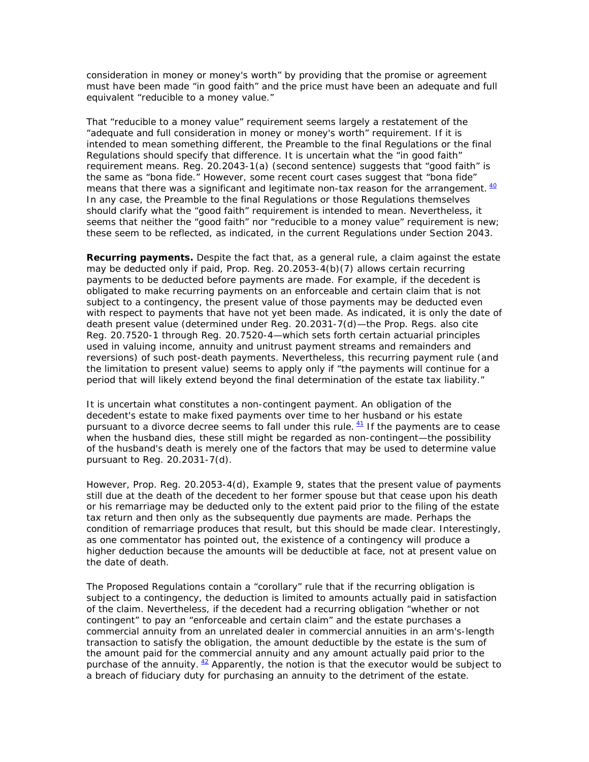consideration in money or money's worth" by providing that the promise or agreement must have been made "in good faith" and the price must have been an adequate and full equivalent "reducible to a money value."

That "reducible to a money value" requirement seems largely a restatement of the "adequate and full consideration in money or money's worth" requirement. If it is intended to mean something different, the Preamble to the final Regulations or the final Regulations should specify that difference. It is uncertain what the "in good faith" requirement means. Reg. 20.2043-1(a) (second sentence) suggests that "good faith" is the same as "bona fide." However, some recent court cases suggest that "bona fide" means that there was a significant and legitimate non-tax reason for the arrangement.  $40$ In any case, the Preamble to the final Regulations or those Regulations themselves should clarify what the "good faith" requirement is intended to mean. Nevertheless, it seems that neither the "good faith" nor "reducible to a money value" requirement is new; these seem to be reflected, as indicated, in the current Regulations under Section 2043.

*Recurring payments.* Despite the fact that, as a general rule, a claim against the estate may be deducted only if paid, Prop. Reg. 20.2053-4(b)(7) allows certain recurring payments to be deducted before payments are made. For example, if the decedent is obligated to make recurring payments on an enforceable and certain claim that is not subject to a contingency, the present value of those payments may be deducted even with respect to payments that have not yet been made. As indicated, it is only the date of death *present value* (determined under Reg. 20.2031-7(d)—the Prop. Regs. also cite Reg. 20.7520-1 through Reg. 20.7520-4—which sets forth certain actuarial principles used in valuing income, annuity and unitrust payment streams and remainders and reversions) of such post-death payments. Nevertheless, this recurring payment rule (and the limitation to present value) seems to apply only if "the payments will continue for a period that will likely extend beyond the final determination of the estate tax liability."

It is uncertain what constitutes a non-contingent payment. An obligation of the decedent's estate to make fixed payments over time to her husband or his estate pursuant to a divorce decree seems to fall under this rule.  $41$  If the payments are to cease when the husband dies, these still might be regarded as non-contingent—the possibility of the husband's death is merely one of the factors that may be used to determine value pursuant to Reg. 20.2031-7(d).

However*,* Prop. Reg. 20.2053-4(d), Example 9, states that the present value of payments still due at the death of the decedent to her former spouse but that cease upon his death or *his remarriage* may be deducted only to the extent paid prior to the filing of the estate tax return and then only as the subsequently due payments are made. Perhaps the condition of remarriage produces that result, but this should be made clear. Interestingly, as one commentator has pointed out, the existence of a contingency will produce a higher deduction because the amounts will be deductible at face, not at present value on the date of death.

The Proposed Regulations contain a "corollary" rule that if the recurring obligation is subject to a contingency, the deduction is limited to amounts actually paid in satisfaction of the claim. Nevertheless, if the decedent had a recurring obligation "whether or not contingent" to pay an "enforceable and certain claim" and the estate purchases a commercial annuity from an unrelated dealer in commercial annuities in an arm's-length transaction to satisfy the obligation, the amount deductible by the estate is the sum of the amount paid for the commercial annuity and any amount actually paid prior to the purchase of the annuity.  $42$  Apparently, the notion is that the executor would be subject to a breach of fiduciary duty for purchasing an annuity to the detriment of the estate.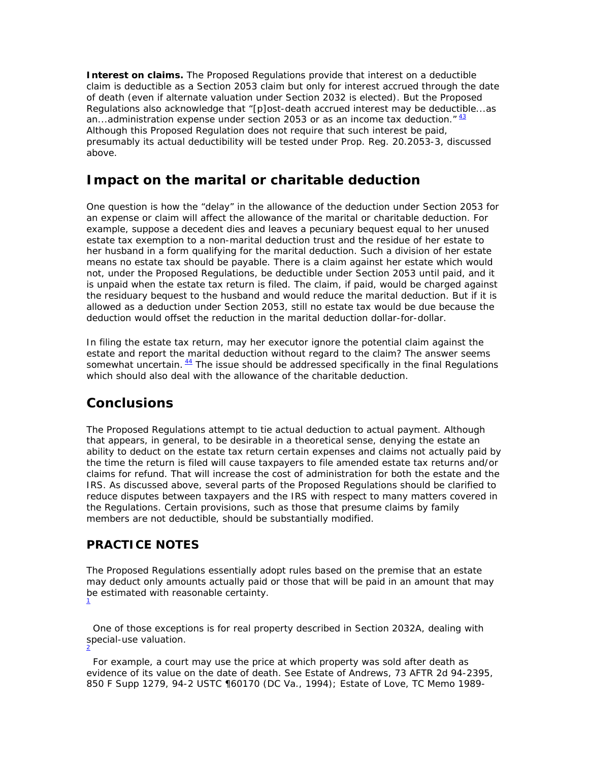**Interest on claims.** The Proposed Regulations provide that interest on a deductible claim is deductible as a Section 2053 claim but only for interest accrued through the date of death (even if alternate valuation under Section 2032 is elected). But the Proposed Regulations also acknowledge that "[p]ost-death accrued interest may be deductible...as an...administration expense under section 2053 or as an income tax deduction. $1/43$ Although this Proposed Regulation does not require that such interest be paid, presumably its actual deductibility will be tested under Prop. Reg. 20.2053-3, discussed above.

#### **Impact on the marital or charitable deduction**

One question is how the "delay" in the allowance of the deduction under Section 2053 for an expense or claim will affect the allowance of the marital or charitable deduction. For example, suppose a decedent dies and leaves a pecuniary bequest equal to her unused estate tax exemption to a non-marital deduction trust and the residue of her estate to her husband in a form qualifying for the marital deduction. Such a division of her estate means no estate tax should be payable. There is a claim against her estate which would not, under the Proposed Regulations, be deductible under Section 2053 until paid, and it is unpaid when the estate tax return is filed. The claim, if paid, would be charged against the residuary bequest to the husband and would reduce the marital deduction. But if it is allowed as a deduction under Section 2053, still no estate tax would be due because the deduction would offset the reduction in the marital deduction dollar-for-dollar.

In filing the estate tax return, may her executor ignore the potential claim against the estate and report the marital deduction without regard to the claim? The answer seems somewhat uncertain.  $\frac{44}{1}$  The issue should be addressed specifically in the final Regulations which should also deal with the allowance of the charitable deduction.

# **Conclusions**

The Proposed Regulations attempt to tie actual deduction to actual payment. Although that appears, in general, to be desirable in a theoretical sense, denying the estate an ability to deduct on the estate tax return certain expenses and claims not actually paid by the time the return is filed will cause taxpayers to file amended estate tax returns and/or claims for refund. That will increase the cost of administration for both the estate and the IRS. As discussed above, several parts of the Proposed Regulations should be clarified to reduce disputes between taxpayers and the IRS with respect to many matters covered in the Regulations. Certain provisions, such as those that presume claims by family members are not deductible, should be substantially modified.

#### **PRACTICE NOTES**

The Proposed Regulations essentially adopt rules based on the premise that an estate may deduct only amounts actually paid or those that will be paid in an amount that may be estimated with reasonable certainty. 1

 One of those exceptions is for real property described in Section 2032A, dealing with special-use valuation. 2

 For example, a court may use the price at which property was sold after death as evidence of its value on the date of death. See Estate of Andrews, 73 AFTR 2d 94-2395, 850 F Supp 1279, 94-2 USTC ¶60170 (DC Va., 1994); Estate of Love, TC Memo 1989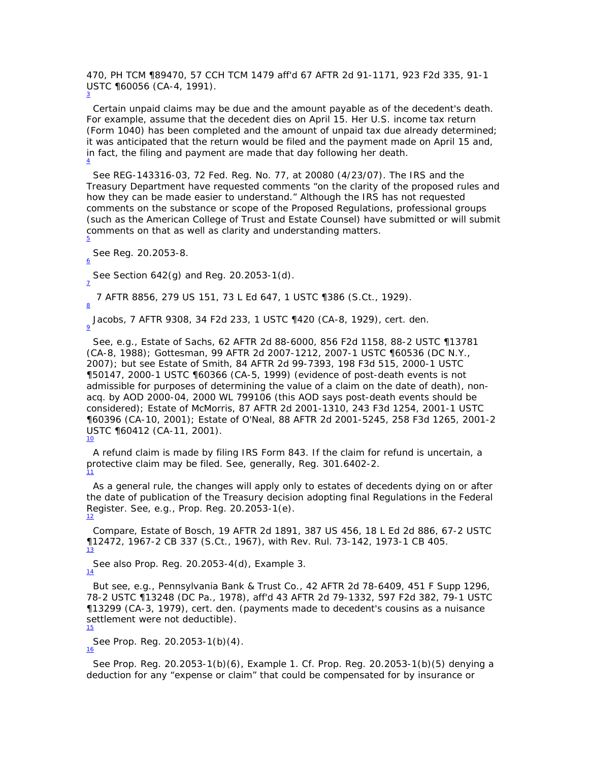470, PH TCM ¶89470, 57 CCH TCM 1479 *aff'd* 67 AFTR 2d 91-1171, 923 F2d 335, 91-1 USTC ¶60056 (CA-4, 1991). 3

 Certain unpaid claims may be due and the amount payable as of the decedent's death. For example, assume that the decedent dies on April 15. Her U.S. income tax return (Form 1040) has been completed and the amount of unpaid tax due already determined; it was anticipated that the return would be filed and the payment made on April 15 and, in fact, the filing and payment are made that day following her death. 4

 See REG-143316-03, 72 Fed. Reg. No. 77, at 20080 (4/23/07). The IRS and the Treasury Department have requested comments "on the clarity of the proposed rules and how they can be made easier to understand." Although the IRS has not requested comments on the substance or scope of the Proposed Regulations, professional groups (such as the American College of Trust and Estate Counsel) have submitted or will submit comments on that as well as clarity and understanding matters.

 See Reg. 20.2053-8. 6

7

8

See Section 642(g) and Reg. 20.2053-1(d).

7 AFTR 8856, 279 US 151, 73 L Ed 647, 1 USTC ¶386 (S.Ct., 1929).

Jacobs, 7 AFTR 9308, 34 F2d 233, 1 USTC ¶420 (CA-8, 1929), *cert. den*. 9

 See, e.g., Estate of Sachs, 62 AFTR 2d 88-6000, 856 F2d 1158, 88-2 USTC ¶13781 (CA-8, 1988); Gottesman, 99 AFTR 2d 2007-1212, 2007-1 USTC ¶60536 (DC N.Y., 2007); but see Estate of Smith, 84 AFTR 2d 99-7393, 198 F3d 515, 2000-1 USTC ¶50147, 2000-1 USTC ¶60366 (CA-5, 1999) (evidence of post-death events is not admissible for purposes of determining the value of a claim on the date of death), *nonacq.* by AOD 2000-04, 2000 WL 799106 (this AOD says post-death events should be considered); Estate of McMorris, 87 AFTR 2d 2001-1310, 243 F3d 1254, 2001-1 USTC ¶60396 (CA-10, 2001); Estate of O'Neal, 88 AFTR 2d 2001-5245, 258 F3d 1265, 2001-2 USTC ¶60412 (CA-11, 2001).  $10$ 

 A refund claim is made by filing IRS Form 843. If the claim for refund is uncertain, a protective claim may be filed. See, generally, Reg. 301.6402-2.<br>11

 As a general rule, the changes will apply only to estates of decedents dying on or after the date of publication of the Treasury decision adopting final Regulations in the Federal Register. See, e.g., Prop. Reg. 20.2053-1(e). 12

 *Compare*, Estate of Bosch, 19 AFTR 2d 1891, 387 US 456, 18 L Ed 2d 886, 67-2 USTC ¶12472, 1967-2 CB 337 (S.Ct., 1967), *with* Rev. Rul. 73-142, 1973-1 CB 405. 13

 See also Prop. Reg. 20.2053-4(d), Example 3. 14

 But see, e.g., Pennsylvania Bank & Trust Co., 42 AFTR 2d 78-6409, 451 F Supp 1296, 78-2 USTC ¶13248 (DC Pa., 1978), *aff'd* 43 AFTR 2d 79-1332, 597 F2d 382, 79-1 USTC ¶13299 (CA-3, 1979), *cert. den.* (payments made to decedent's cousins as a nuisance settlement were not deductible). 15

 See Prop. Reg. 20.2053-1(b)(4). 16

 See Prop. Reg. 20.2053-1(b)(6), Example 1. *Cf.* Prop. Reg. 20.2053-1(b)(5) denying a deduction for any "expense or claim" that could be compensated for by insurance or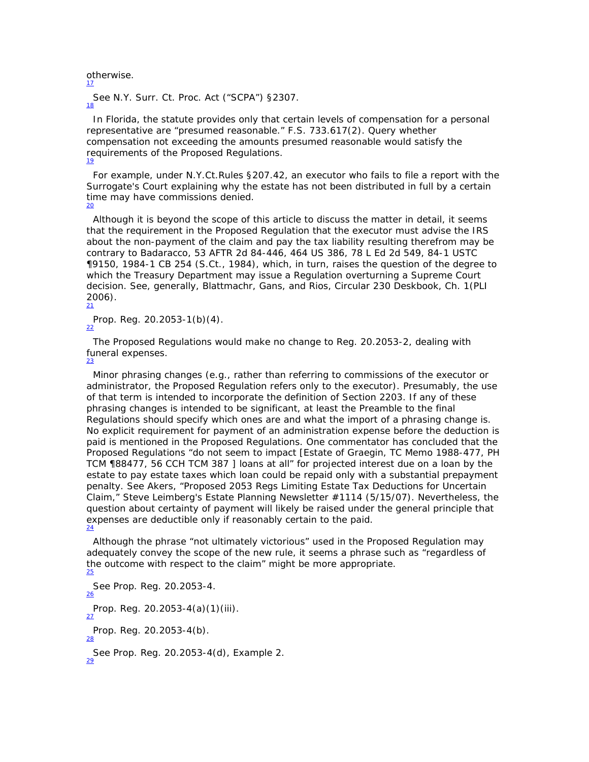otherwise. 17

 See N.Y. Surr. Ct. Proc. Act ("SCPA") §2307. 18

 In Florida, the statute provides only that certain levels of compensation for a personal representative are "presumed reasonable." F.S. 733.617(2). Query whether compensation not exceeding the amounts presumed reasonable would satisfy the requirements of the Proposed Regulations. 19

 For example, under N.Y.Ct.Rules §207.42, an executor who fails to file a report with the Surrogate's Court explaining why the estate has not been distributed in full by a certain time may have commissions denied.<br> $\frac{20}{20}$ 

 Although it is beyond the scope of this article to discuss the matter in detail, it seems that the requirement in the Proposed Regulation that the executor must advise the IRS about the non-payment of the claim and pay the tax liability resulting therefrom may be contrary to *Badaracco*, 53 AFTR 2d 84-446, 464 US 386, 78 L Ed 2d 549, 84-1 USTC ¶9150, 1984-1 CB 254 (S.Ct., 1984), which, in turn, raises the question of the degree to which the Treasury Department may issue a Regulation overturning a Supreme Court decision. See, generally, Blattmachr, Gans, and Rios, *Circular 230 Deskbook*, Ch. 1(PLI 2006). 21

Prop. Reg.  $20.2053 - 1(b)(4)$ .

 The Proposed Regulations would make no change to Reg. 20.2053-2, dealing with funeral expenses. 23

 Minor phrasing changes (e.g., rather than referring to commissions of the executor or administrator, the Proposed Regulation refers only to the executor). Presumably, the use of that term is intended to incorporate the definition of Section 2203. If any of these phrasing changes is intended to be significant, at least the Preamble to the final Regulations should specify which ones are and what the import of a phrasing change is. No explicit requirement for payment of an administration expense before the deduction is paid is mentioned in the Proposed Regulations. One commentator has concluded that the Proposed Regulations "do not seem to impact [*Estate of Graegin*, TC Memo 1988-477, PH TCM ¶88477, 56 CCH TCM 387 ] loans at all" for projected interest due on a loan by the estate to pay estate taxes which loan could be repaid only with a substantial prepayment penalty. See Akers, "Proposed 2053 Regs Limiting Estate Tax Deductions for Uncertain Claim," Steve Leimberg's Estate Planning Newsletter #1114 (5/15/07). Nevertheless, the question about certainty of payment will likely be raised under the general principle that expenses are deductible only if reasonably certain to the paid.  $\frac{24}{24}$ 

 Although the phrase "not ultimately victorious" used in the Proposed Regulation may adequately convey the scope of the new rule, it seems a phrase such as "regardless of the outcome with respect to the claim" might be more appropriate. 25

 See Prop. Reg. 20.2053-4. 26 Prop. Reg. 20.2053-4(a)(1)(iii). Prop. Reg. 20.2053-4(b). 28 See Prop. Reg. 20.2053-4(d), Example 2. 29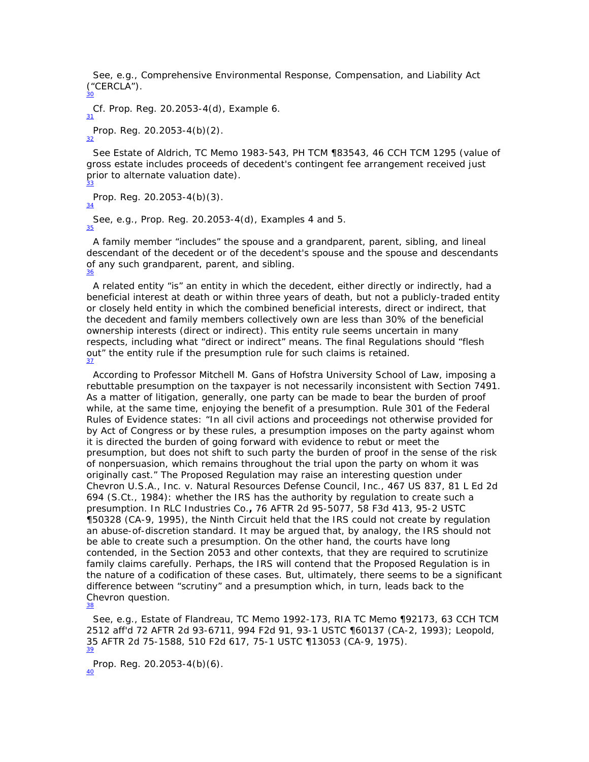See, e.g., Comprehensive Environmental Response, Compensation, and Liability Act ("CERCLA"). 30

*Cf.* Prop. Reg. 20.2053-4(d), Example 6. Prop. Reg. 20.2053-4(b)(2).<br>32

 See Estate of Aldrich, TC Memo 1983-543, PH TCM ¶83543, 46 CCH TCM 1295 (value of gross estate includes proceeds of decedent's contingent fee arrangement received just prior to alternate valuation date). 33

Prop. Reg.  $20.2053-4(b)(3)$ .

 See, e.g., Prop. Reg. 20.2053-4(d), Examples 4 and 5. 35

 A family member "includes" the spouse and a grandparent, parent, sibling, and lineal descendant of the decedent or of the decedent's spouse and the spouse and descendants of any such grandparent, parent, and sibling. 36

 A related entity "is" an entity in which the decedent, either directly or indirectly, had a beneficial interest at death or within three years of death, but not a publicly-traded entity or closely held entity in which the combined beneficial interests, direct or indirect, that the decedent and family members collectively own are less than 30% of the beneficial ownership interests (direct or indirect). This entity rule seems uncertain in many respects, including what "direct or indirect" means. The final Regulations should "flesh out" the entity rule if the presumption rule for such claims is retained. 37

 According to Professor Mitchell M. Gans of Hofstra University School of Law, imposing a rebuttable presumption on the taxpayer is not necessarily inconsistent with Section 7491. As a matter of litigation, generally, one party can be made to bear the burden of proof while, at the same time, enjoying the benefit of a presumption. Rule 301 of the Federal Rules of Evidence states: "In all civil actions and proceedings not otherwise provided for by Act of Congress or by these rules, a presumption imposes on the party against whom it is directed the burden of going forward with evidence to rebut or meet the presumption, but does not shift to such party the burden of proof in the sense of the risk of nonpersuasion, which remains throughout the trial upon the party on whom it was originally cast." The Proposed Regulation may raise an interesting question under *Chevron U.S.A., Inc. v. Natural Resources Defense Council, Inc*., 467 US 837, 81 L Ed 2d 694 (S.Ct., 1984): whether the IRS has the authority by regulation to create such a presumption. In *RLC Industries Co.***,** 76 AFTR 2d 95-5077, 58 F3d 413, 95-2 USTC ¶50328 (CA-9, 1995), the Ninth Circuit held that the IRS could not create by regulation an abuse-of-discretion standard. It may be argued that, by analogy, the IRS should not be able to create such a presumption. On the other hand, the courts have long contended, in the Section 2053 and other contexts, that they are required to scrutinize family claims carefully. Perhaps, the IRS will contend that the Proposed Regulation is in the nature of a codification of these cases. But, ultimately, there seems to be a significant difference between "scrutiny" and a presumption which, in turn, leads back to the *Chevron* question. 38

 See, e.g., Estate of Flandreau, TC Memo 1992-173, RIA TC Memo ¶92173, 63 CCH TCM 2512 *aff'd* 72 AFTR 2d 93-6711, 994 F2d 91, 93-1 USTC ¶60137 (CA-2, 1993); Leopold, 35 AFTR 2d 75-1588, 510 F2d 617, 75-1 USTC ¶13053 (CA-9, 1975). 39

Prop. Reg. 20.2053-4(b)(6).